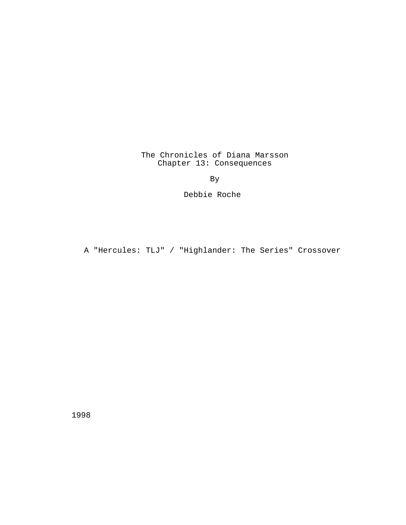The Chronicles of Diana Marsson Chapter 13: Consequences

By

Debbie Roche

A "Hercules: TLJ" / "Highlander: The Series" Crossover

1998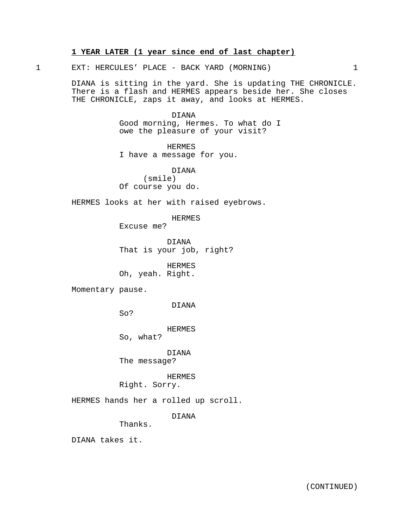# **1 YEAR LATER (1 year since end of last chapter)**

1 EXT: HERCULES' PLACE - BACK YARD (MORNING) 1

DIANA is sitting in the yard. She is updating THE CHRONICLE. There is a flash and HERMES appears beside her. She closes THE CHRONICLE, zaps it away, and looks at HERMES.

> DIANA Good morning, Hermes. To what do I owe the pleasure of your visit?

HERMES I have a message for you.

DIANA (smile) Of course you do.

HERMES looks at her with raised eyebrows.

HERMES

Excuse me?

DIANA That is your job, right?

HERMES Oh, yeah. Right.

Momentary pause.

DIANA

So?

HERMES

So, what?

DIANA

The message?

HERMES

Right. Sorry.

HERMES hands her a rolled up scroll.

DIANA

Thanks.

DIANA takes it.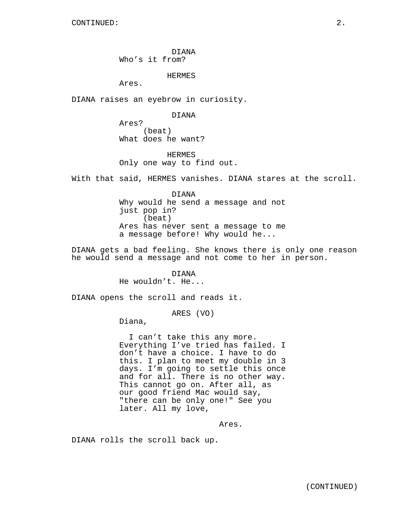DIANA Who's it from?

HERMES

Ares.

DIANA raises an eyebrow in curiosity.

DIANA

Ares? (beat) What does he want?

HERMES Only one way to find out.

With that said, HERMES vanishes. DIANA stares at the scroll.

DIANA Why would he send a message and not just pop in? (beat) Ares has never sent a message to me a message before! Why would he...

DIANA gets a bad feeling. She knows there is only one reason he would send a message and not come to her in person.

> DIANA He wouldn't. He...

DIANA opens the scroll and reads it.

ARES (VO)

Diana,

I can't take this any more. Everything I've tried has failed. I don't have a choice. I have to do this. I plan to meet my double in 3 days. I'm going to settle this once and for all. There is no other way. This cannot go on. After all, as our good friend Mac would say, "there can be only one!" See you later. All my love,

Ares.

DIANA rolls the scroll back up.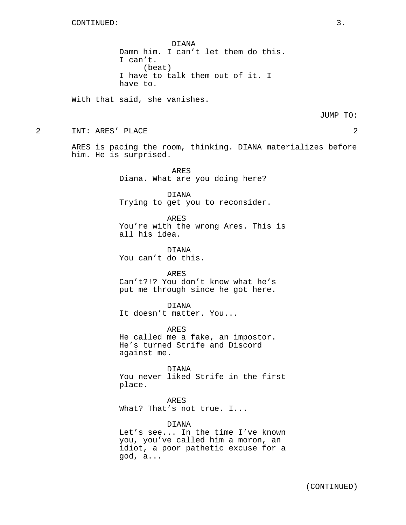DIANA Damn him. I can't let them do this. I can't. (beat) I have to talk them out of it. I have to.

With that said, she vanishes.

JUMP TO:

2 INT: ARES' PLACE 2

ARES is pacing the room, thinking. DIANA materializes before him. He is surprised.

> ARES Diana. What are you doing here?

DIANA Trying to get you to reconsider.

ARES You're with the wrong Ares. This is all his idea.

DIANA You can't do this.

ARES Can't?!? You don't know what he's put me through since he got here.

DIANA It doesn't matter. You...

ARES He called me a fake, an impostor. He's turned Strife and Discord against me.

DIANA You never liked Strife in the first place.

ARES

What? That's not true. I...

#### DIANA

Let's see... In the time I've known you, you've called him a moron, an idiot, a poor pathetic excuse for a god, a...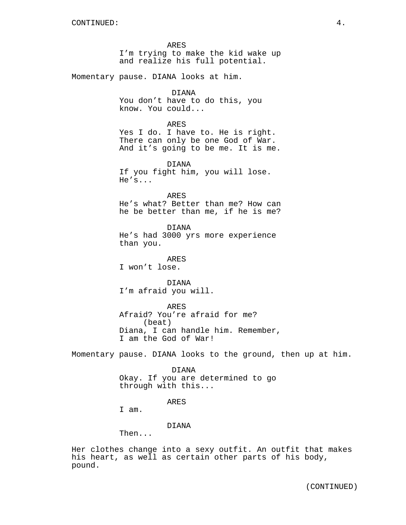ARES I'm trying to make the kid wake up and realize his full potential.

Momentary pause. DIANA looks at him.

## DIANA

You don't have to do this, you know. You could...

## ARES

Yes I do. I have to. He is right. There can only be one God of War. And it's going to be me. It is me.

DIANA

If you fight him, you will lose. He's...

ARES He's what? Better than me? How can he be better than me, if he is me?

DIANA He's had 3000 yrs more experience than you.

ARES I won't lose.

DIANA I'm afraid you will.

ARES Afraid? You're afraid for me? (beat) Diana, I can handle him. Remember, I am the God of War!

Momentary pause. DIANA looks to the ground, then up at him.

DIANA Okay. If you are determined to go through with this...

#### ARES

I am.

## DIANA

Then...

Her clothes change into a sexy outfit. An outfit that makes his heart, as well as certain other parts of his body, pound.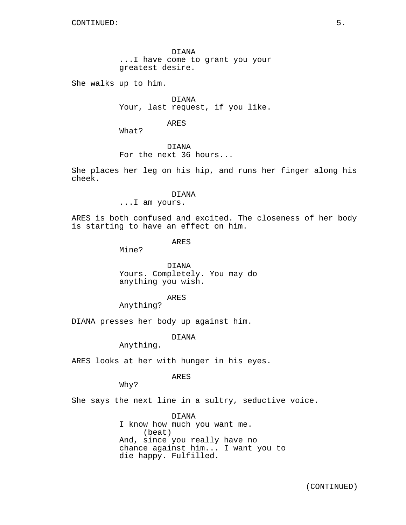DIANA ...I have come to grant you your greatest desire.

She walks up to him.

DIANA Your, last request, if you like.

ARES

What?

DIANA For the next 36 hours...

She places her leg on his hip, and runs her finger along his cheek.

DIANA

...I am yours.

ARES is both confused and excited. The closeness of her body is starting to have an effect on him.

ARES

Mine?

DIANA Yours. Completely. You may do anything you wish.

ARES

Anything?

DIANA presses her body up against him.

DIANA

Anything.

ARES looks at her with hunger in his eyes.

ARES

Why?

She says the next line in a sultry, seductive voice.

DIANA I know how much you want me. (beat) And, since you really have no chance against him... I want you to die happy. Fulfilled.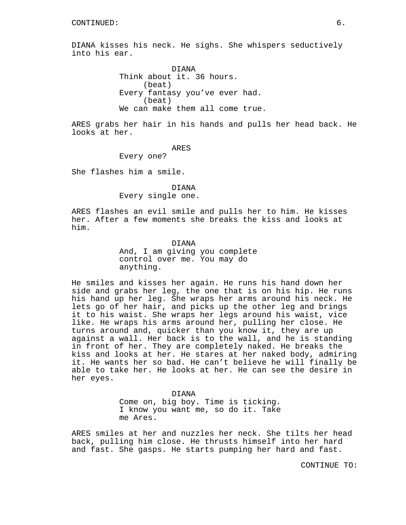DIANA kisses his neck. He sighs. She whispers seductively into his ear.

> DIANA Think about it. 36 hours. (beat) Every fantasy you've ever had. (beat) We can make them all come true.

ARES grabs her hair in his hands and pulls her head back. He looks at her.

ARES

Every one?

She flashes him a smile.

## DIANA Every single one.

ARES flashes an evil smile and pulls her to him. He kisses her. After a few moments she breaks the kiss and looks at him.

> DIANA And, I am giving you complete control over me. You may do anything.

He smiles and kisses her again. He runs his hand down her side and grabs her leg, the one that is on his hip. He runs his hand up her leg. She wraps her arms around his neck. He lets go of her hair, and picks up the other leg and brings it to his waist. She wraps her legs around his waist, vice like. He wraps his arms around her, pulling her close. He turns around and, quicker than you know it, they are up against a wall. Her back is to the wall, and he is standing in front of her. They are completely naked. He breaks the kiss and looks at her. He stares at her naked body, admiring it. He wants her so bad. He can't believe he will finally be able to take her. He looks at her. He can see the desire in her eyes.

> DIANA Come on, big boy. Time is ticking. I know you want me, so do it. Take me Ares.

ARES smiles at her and nuzzles her neck. She tilts her head back, pulling him close. He thrusts himself into her hard and fast. She gasps. He starts pumping her hard and fast.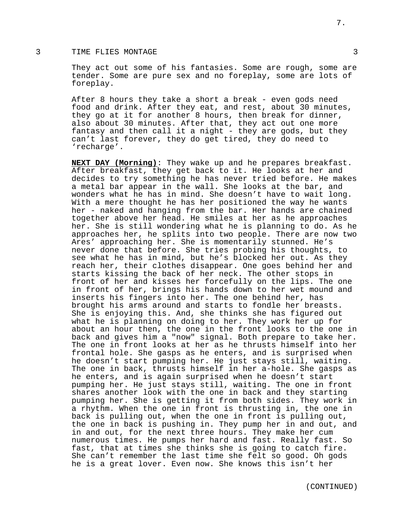## 3 TIME FLIES MONTAGE 3

They act out some of his fantasies. Some are rough, some are tender. Some are pure sex and no foreplay, some are lots of foreplay.

After 8 hours they take a short a break - even gods need food and drink. After they eat, and rest, about 30 minutes, they go at it for another 8 hours, then break for dinner, also about 30 minutes. After that, they act out one more fantasy and then call it a night - they are gods, but they can't last forever, they do get tired, they do need to 'recharge'.

**NEXT DAY (Morning)**: They wake up and he prepares breakfast. After breakfast, they get back to it. He looks at her and decides to try something he has never tried before. He makes a metal bar appear in the wall. She looks at the bar, and wonders what he has in mind. She doesn't have to wait long. With a mere thought he has her positioned the way he wants her - naked and hanging from the bar. Her hands are chained together above her head. He smiles at her as he approaches her. She is still wondering what he is planning to do. As he approaches her, he splits into two people. There are now two Ares' approaching her. She is momentarily stunned. He's never done that before. She tries probing his thoughts, to see what he has in mind, but he's blocked her out. As they reach her, their clothes disappear. One goes behind her and starts kissing the back of her neck. The other stops in front of her and kisses her forcefully on the lips. The one in front of her, brings his hands down to her wet mound and inserts his fingers into her. The one behind her, has brought his arms around and starts to fondle her breasts. She is enjoying this. And, she thinks she has figured out what he is planning on doing to her. They work her up for about an hour then, the one in the front looks to the one in back and gives him a "now" signal. Both prepare to take her. The one in front looks at her as he thrusts himself into her frontal hole. She gasps as he enters, and is surprised when he doesn't start pumping her. He just stays still, waiting. The one in back, thrusts himself in her a-hole. She gasps as he enters, and is again surprised when he doesn't start pumping her. He just stays still, waiting. The one in front shares another look with the one in back and they starting pumping her. She is getting it from both sides. They work in a rhythm. When the one in front is thrusting in, the one in back is pulling out, when the one in front is pulling out, the one in back is pushing in. They pump her in and out, and in and out, for the next three hours. They make her cum numerous times. He pumps her hard and fast. Really fast. So fast, that at times she thinks she is going to catch fire. She can't remember the last time she felt so good. Oh gods he is a great lover. Even now. She knows this isn't her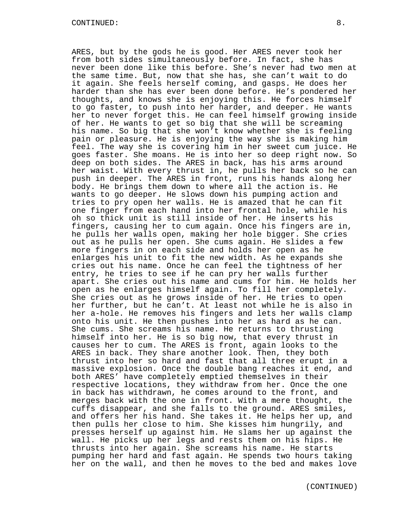ARES, but by the gods he is good. Her ARES never took her from both sides simultaneously before. In fact, she has never been done like this before. She's never had two men at the same time. But, now that she has, she can't wait to do it again. She feels herself coming, and gasps. He does her harder than she has ever been done before. He's pondered her thoughts, and knows she is enjoying this. He forces himself to go faster, to push into her harder, and deeper. He wants her to never forget this. He can feel himself growing inside of her. He wants to get so big that she will be screaming his name. So big that she won't know whether she is feeling pain or pleasure. He is enjoying the way she is making him feel. The way she is covering him in her sweet cum juice. He goes faster. She moans. He is into her so deep right now. So deep on both sides. The ARES in back, has his arms around her waist. With every thrust in, he pulls her back so he can push in deeper. The ARES in front, runs his hands along her body. He brings them down to where all the action is. He wants to go deeper. He slows down his pumping action and tries to pry open her walls. He is amazed that he can fit one finger from each hand into her frontal hole, while his oh so thick unit is still inside of her. He inserts his fingers, causing her to cum again. Once his fingers are in, he pulls her walls open, making her hole bigger. She cries out as he pulls her open. She cums again. He slides a few more fingers in on each side and holds her open as he enlarges his unit to fit the new width. As he expands she cries out his name. Once he can feel the tightness of her entry, he tries to see if he can pry her walls further apart. She cries out his name and cums for him. He holds her open as he enlarges himself again. To fill her completely. She cries out as he grows inside of her. He tries to open her further, but he can't. At least not while he is also in her a-hole. He removes his fingers and lets her walls clamp onto his unit. He then pushes into her as hard as he can. She cums. She screams his name. He returns to thrusting himself into her. He is so big now, that every thrust in causes her to cum. The ARES is front, again looks to the ARES in back. They share another look. Then, they both thrust into her so hard and fast that all three erupt in a massive explosion. Once the double bang reaches it end, and both ARES' have completely emptied themselves in their respective locations, they withdraw from her. Once the one in back has withdrawn, he comes around to the front, and merges back with the one in front. With a mere thought, the cuffs disappear, and she falls to the ground. ARES smiles, and offers her his hand. She takes it. He helps her up, and then pulls her close to him. She kisses him hungrily, and presses herself up against him. He slams her up against the wall. He picks up her legs and rests them on his hips. He thrusts into her again. She screams his name. He starts pumping her hard and fast again. He spends two hours taking her on the wall, and then he moves to the bed and makes love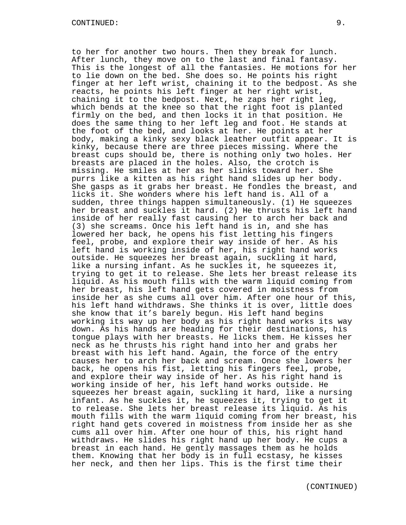to her for another two hours. Then they break for lunch. After lunch, they move on to the last and final fantasy. This is the longest of all the fantasies. He motions for her to lie down on the bed. She does so. He points his right finger at her left wrist, chaining it to the bedpost. As she reacts, he points his left finger at her right wrist, chaining it to the bedpost. Next, he zaps her right leg, which bends at the knee so that the right foot is planted firmly on the bed, and then locks it in that position. He does the same thing to her left leg and foot. He stands at the foot of the bed, and looks at her. He points at her body, making a kinky sexy black leather outfit appear. It is kinky, because there are three pieces missing. Where the breast cups should be, there is nothing only two holes. Her breasts are placed in the holes. Also, the crotch is missing. He smiles at her as her slinks toward her. She purrs like a kitten as his right hand slides up her body. She gasps as it grabs her breast. He fondles the breast, and licks it. She wonders where his left hand is. All of a sudden, three things happen simultaneously. (1) He squeezes her breast and suckles it hard. (2) He thrusts his left hand inside of her really fast causing her to arch her back and (3) she screams. Once his left hand is in, and she has lowered her back, he opens his fist letting his fingers feel, probe, and explore their way inside of her. As his left hand is working inside of her, his right hand works outside. He squeezes her breast again, suckling it hard, like a nursing infant. As he suckles it, he squeezes it, trying to get it to release. She lets her breast release its liquid. As his mouth fills with the warm liquid coming from her breast, his left hand gets covered in moistness from inside her as she cums all over him. After one hour of this, his left hand withdraws. She thinks it is over, little does she know that it's barely begun. His left hand begins working its way up her body as his right hand works its way down. As his hands are heading for their destinations, his tongue plays with her breasts. He licks them. He kisses her neck as he thrusts his right hand into her and grabs her breast with his left hand. Again, the force of the entry causes her to arch her back and scream. Once she lowers her back, he opens his fist, letting his fingers feel, probe, and explore their way inside of her. As his right hand is working inside of her, his left hand works outside. He squeezes her breast again, suckling it hard, like a nursing infant. As he suckles it, he squeezes it, trying to get it to release. She lets her breast release its liquid. As his mouth fills with the warm liquid coming from her breast, his right hand gets covered in moistness from inside her as she cums all over him. After one hour of this, his right hand withdraws. He slides his right hand up her body. He cups a breast in each hand. He gently massages them as he holds them. Knowing that her body is in full ecstasy, he kisses her neck, and then her lips. This is the first time their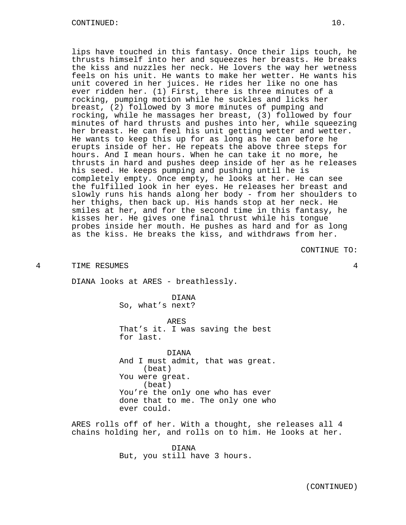lips have touched in this fantasy. Once their lips touch, he thrusts himself into her and squeezes her breasts. He breaks the kiss and nuzzles her neck. He lovers the way her wetness feels on his unit. He wants to make her wetter. He wants his unit covered in her juices. He rides her like no one has ever ridden her. (1) First, there is three minutes of a rocking, pumping motion while he suckles and licks her breast, (2) followed by 3 more minutes of pumping and rocking, while he massages her breast, (3) followed by four minutes of hard thrusts and pushes into her, while squeezing her breast. He can feel his unit getting wetter and wetter. He wants to keep this up for as long as he can before he erupts inside of her. He repeats the above three steps for hours. And I mean hours. When he can take it no more, he thrusts in hard and pushes deep inside of her as he releases his seed. He keeps pumping and pushing until he is completely empty. Once empty, he looks at her. He can see the fulfilled look in her eyes. He releases her breast and slowly runs his hands along her body - from her shoulders to her thighs, then back up. His hands stop at her neck. He smiles at her, and for the second time in this fantasy, he kisses her. He gives one final thrust while his tongue probes inside her mouth. He pushes as hard and for as long as the kiss. He breaks the kiss, and withdraws from her.

CONTINUE TO:

4 TIME RESUMES 4

DIANA looks at ARES - breathlessly.

DIANA So, what's next?

ARES That's it. I was saving the best for last.

DIANA And I must admit, that was great. (beat) You were great. (beat) You're the only one who has ever done that to me. The only one who ever could.

ARES rolls off of her. With a thought, she releases all 4 chains holding her, and rolls on to him. He looks at her.

> DIANA But, you still have 3 hours.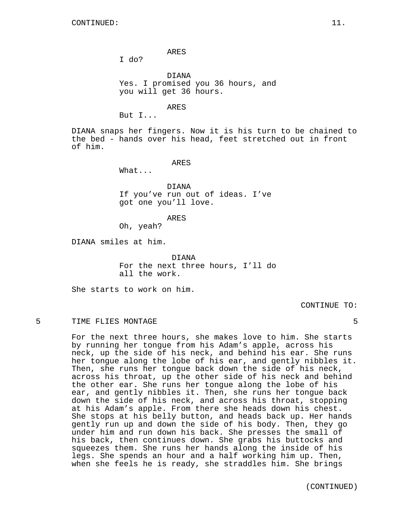ARES

I do?

DIANA Yes. I promised you 36 hours, and you will get 36 hours.

ARES

But I...

DIANA snaps her fingers. Now it is his turn to be chained to the bed - hands over his head, feet stretched out in front of him.

ARES

What...

DIANA If you've run out of ideas. I've got one you'll love.

ARES

Oh, yeah?

DIANA smiles at him.

DIANA For the next three hours, I'll do all the work.

She starts to work on him.

CONTINUE TO:

## 5 TIME FLIES MONTAGE 5

For the next three hours, she makes love to him. She starts by running her tongue from his Adam's apple, across his neck, up the side of his neck, and behind his ear. She runs her tongue along the lobe of his ear, and gently nibbles it. Then, she runs her tongue back down the side of his neck, across his throat, up the other side of his neck and behind the other ear. She runs her tongue along the lobe of his ear, and gently nibbles it. Then, she runs her tongue back down the side of his neck, and across his throat, stopping at his Adam's apple. From there she heads down his chest. She stops at his belly button, and heads back up. Her hands gently run up and down the side of his body. Then, they go under him and run down his back. She presses the small of his back, then continues down. She grabs his buttocks and squeezes them. She runs her hands along the inside of his legs. She spends an hour and a half working him up. Then, when she feels he is ready, she straddles him. She brings

(CONTINUED)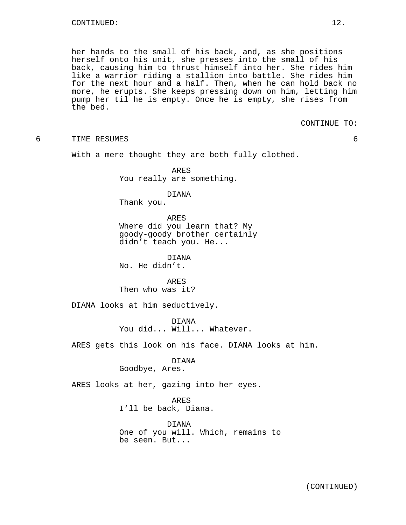her hands to the small of his back, and, as she positions herself onto his unit, she presses into the small of his back, causing him to thrust himself into her. She rides him like a warrior riding a stallion into battle. She rides him for the next hour and a half. Then, when he can hold back no more, he erupts. She keeps pressing down on him, letting him pump her til he is empty. Once he is empty, she rises from the bed.

CONTINUE TO:

6 TIME RESUMES 6

With a mere thought they are both fully clothed.

ARES You really are something.

DIANA

Thank you.

ARES Where did you learn that? My goody-goody brother certainly didn't teach you. He...

DIANA No. He didn't.

ARES Then who was it?

DIANA looks at him seductively.

DIANA You did... Will... Whatever.

ARES gets this look on his face. DIANA looks at him.

DIANA

Goodbye, Ares.

ARES looks at her, gazing into her eyes.

ARES

I'll be back, Diana.

DIANA One of you will. Which, remains to be seen. But...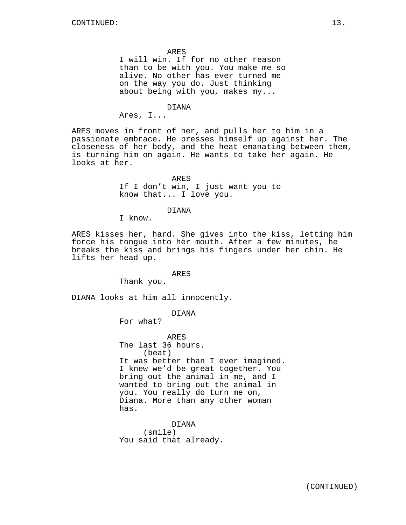ARES

I will win. If for no other reason than to be with you. You make me so alive. No other has ever turned me on the way you do. Just thinking about being with you, makes my...

#### DIANA

Ares, I...

ARES moves in front of her, and pulls her to him in a passionate embrace. He presses himself up against her. The closeness of her body, and the heat emanating between them, is turning him on again. He wants to take her again. He looks at her.

> ARES If I don't win, I just want you to know that... I love you.

## DIANA

I know.

ARES kisses her, hard. She gives into the kiss, letting him force his tongue into her mouth. After a few minutes, he breaks the kiss and brings his fingers under her chin. He lifts her head up.

### ARES

Thank you.

DIANA looks at him all innocently.

# DIANA

For what?

ARES The last 36 hours. (beat) It was better than I ever imagined. I knew we'd be great together. You bring out the animal in me, and I wanted to bring out the animal in you. You really do turn me on, Diana. More than any other woman has.

DIANA (smile) You said that already.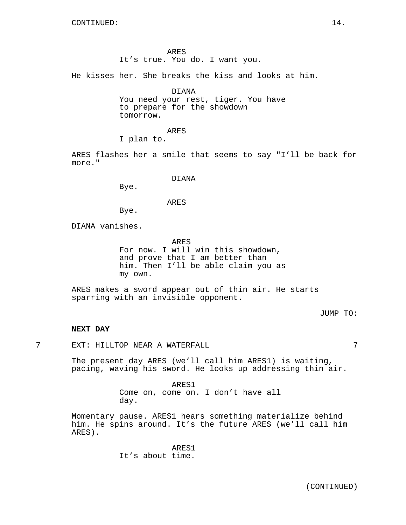ARES It's true. You do. I want you.

He kisses her. She breaks the kiss and looks at him.

DIANA

You need your rest, tiger. You have to prepare for the showdown tomorrow.

ARES

I plan to.

ARES flashes her a smile that seems to say "I'll be back for more."

## DIANA

Bye.

#### ARES

Bye.

DIANA vanishes.

ARES For now. I will win this showdown, and prove that I am better than him. Then I'll be able claim you as my own.

ARES makes a sword appear out of thin air. He starts sparring with an invisible opponent.

JUMP TO:

## **NEXT DAY**

7 EXT: HILLTOP NEAR A WATERFALL 7

The present day ARES (we'll call him ARES1) is waiting, pacing, waving his sword. He looks up addressing thin air.

> ARES1 Come on, come on. I don't have all day.

Momentary pause. ARES1 hears something materialize behind him. He spins around. It's the future ARES (we'll call him ARES).

> ARES1 It's about time.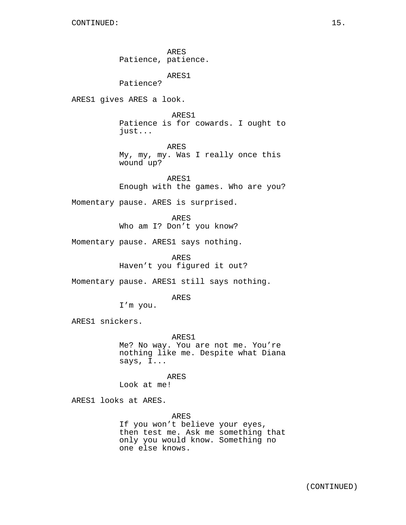ARES Patience, patience. ARES1 Patience? ARES1 gives ARES a look. ARES1 Patience is for cowards. I ought to just... ARES My, my, my. Was I really once this wound up? ARES1 Enough with the games. Who are you? Momentary pause. ARES is surprised. ARES Who am I? Don't you know? Momentary pause. ARES1 says nothing. ARES Haven't you figured it out? Momentary pause. ARES1 still says nothing. ARES I'm you. ARES1 snickers. ARES1 Me? No way. You are not me. You're nothing like me. Despite what Diana says, I... ARES Look at me! ARES1 looks at ARES. ARES If you won't believe your eyes,

then test me. Ask me something that only you would know. Something no one else knows.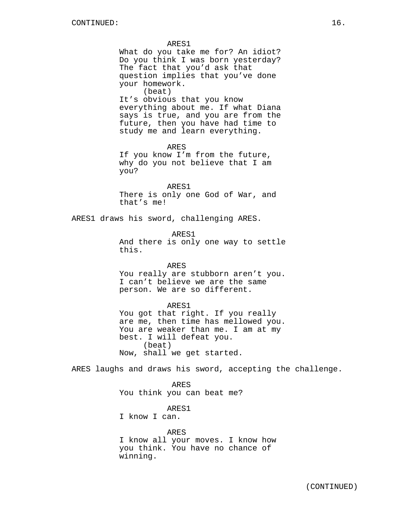ARES1 What do you take me for? An idiot? Do you think I was born yesterday? The fact that you'd ask that question implies that you've done your homework. (beat) It's obvious that you know everything about me. If what Diana says is true, and you are from the future, then you have had time to study me and learn everything. ARES If you know I'm from the future, why do you not believe that I am you? ARES1 There is only one God of War, and that's me! ARES1 draws his sword, challenging ARES. ARES1 And there is only one way to settle this. ARES You really are stubborn aren't you. I can't believe we are the same person. We are so different. ARES1 You got that right. If you really are me, then time has mellowed you. You are weaker than me. I am at my best. I will defeat you. (beat) Now, shall we get started. ARES laughs and draws his sword, accepting the challenge. ARES You think you can beat me? ARES1 I know I can.

> ARES I know all your moves. I know how you think. You have no chance of winning.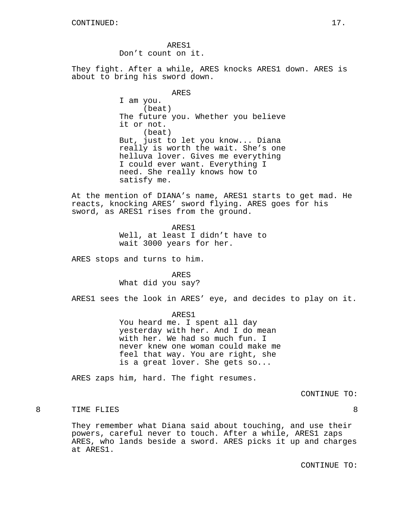ARES1 Don't count on it.

They fight. After a while, ARES knocks ARES1 down. ARES is about to bring his sword down.

#### ARES

I am you. (beat) The future you. Whether you believe it or not. (beat) But, just to let you know... Diana really is worth the wait. She's one helluva lover. Gives me everything I could ever want. Everything I need. She really knows how to satisfy me.

At the mention of DIANA's name, ARES1 starts to get mad. He reacts, knocking ARES' sword flying. ARES goes for his sword, as ARES1 rises from the ground.

ARES1

Well, at least I didn't have to wait 3000 years for her.

ARES stops and turns to him.

ARES What did you say?

ARES1 sees the look in ARES' eye, and decides to play on it.

ARES1

You heard me. I spent all day yesterday with her. And I do mean with her. We had so much fun. I never knew one woman could make me feel that way. You are right, she is a great lover. She gets so...

ARES zaps him, hard. The fight resumes.

CONTINUE TO:

# 8 TIME FLIES 8

They remember what Diana said about touching, and use their powers, careful never to touch. After a while, ARES1 zaps ARES, who lands beside a sword. ARES picks it up and charges at ARES1.

CONTINUE TO: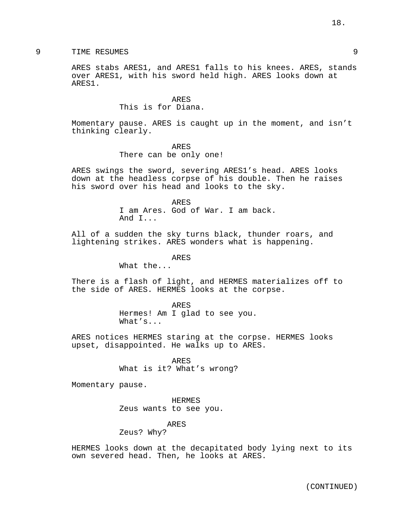# 9 TIME RESUMES 9

ARES stabs ARES1, and ARES1 falls to his knees. ARES, stands over ARES1, with his sword held high. ARES looks down at ARES1.

> ARES This is for Diana.

Momentary pause. ARES is caught up in the moment, and isn't thinking clearly.

ARES

There can be only one!

ARES swings the sword, severing ARES1's head. ARES looks down at the headless corpse of his double. Then he raises his sword over his head and looks to the sky.

> ARES I am Ares. God of War. I am back. And I...

All of a sudden the sky turns black, thunder roars, and lightening strikes. ARES wonders what is happening.

ARES

What the...

There is a flash of light, and HERMES materializes off to the side of ARES. HERMES looks at the corpse.

> ARES Hermes! Am I glad to see you. What's...

ARES notices HERMES staring at the corpse. HERMES looks upset, disappointed. He walks up to ARES.

> ARES What is it? What's wrong?

Momentary pause.

HERMES Zeus wants to see you.

ARES

Zeus? Why?

HERMES looks down at the decapitated body lying next to its own severed head. Then, he looks at ARES.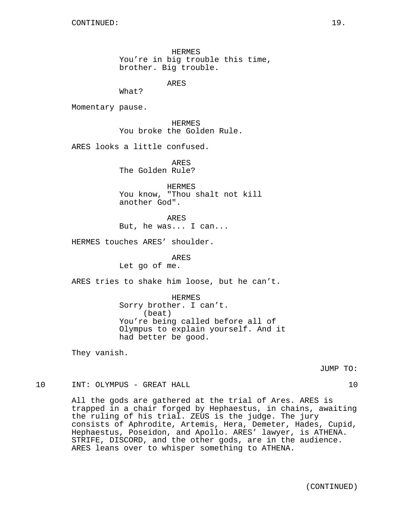HERMES You're in big trouble this time, brother. Big trouble.

ARES

What?

Momentary pause.

HERMES You broke the Golden Rule.

ARES looks a little confused.

ARES The Golden Rule?

HERMES You know, "Thou shalt not kill another God".

ARES But, he was... I can...

HERMES touches ARES' shoulder.

ARES Let go of me.

ARES tries to shake him loose, but he can't.

HERMES Sorry brother. I can't. (beat) You're being called before all of Olympus to explain yourself. And it had better be good.

They vanish.

JUMP TO:

10 INT: OLYMPUS - GREAT HALL 10 10

All the gods are gathered at the trial of Ares. ARES is trapped in a chair forged by Hephaestus, in chains, awaiting the ruling of his trial. ZEUS is the judge. The jury consists of Aphrodite, Artemis, Hera, Demeter, Hades, Cupid, Hephaestus, Poseidon, and Apollo. ARES' lawyer, is ATHENA. STRIFE, DISCORD, and the other gods, are in the audience. ARES leans over to whisper something to ATHENA.

(CONTINUED)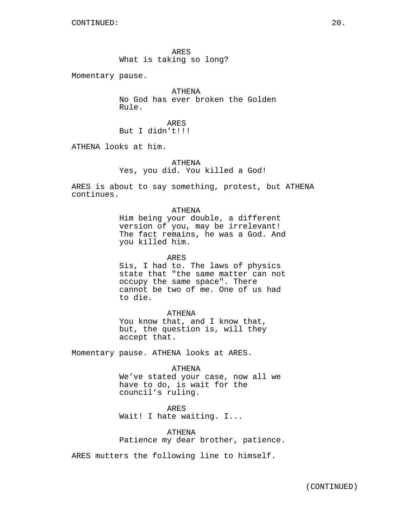ARES What is taking so long?

Momentary pause.

ATHENA No God has ever broken the Golden Rule.

ARES But I didn't!!!

ATHENA looks at him.

ATHENA Yes, you did. You killed a God!

ARES is about to say something, protest, but ATHENA continues.

### ATHENA

Him being your double, a different version of you, may be irrelevant! The fact remains, he was a God. And you killed him.

ARES

Sis, I had to. The laws of physics state that "the same matter can not occupy the same space". There cannot be two of me. One of us had to die.

#### ATHENA

You know that, and I know that, but, the question is, will they accept that.

Momentary pause. ATHENA looks at ARES.

#### ATHENA

We've stated your case, now all we have to do, is wait for the council's ruling.

ARES Wait! I hate waiting. I...

ATHENA Patience my dear brother, patience.

ARES mutters the following line to himself.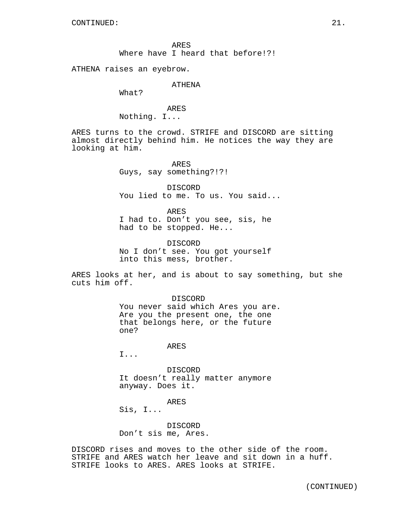ARES Where have I heard that before!?!

ATHENA raises an eyebrow.

ATHENA

What?

ARES Nothing. I...

ARES turns to the crowd. STRIFE and DISCORD are sitting almost directly behind him. He notices the way they are looking at him.

> ARES Guys, say something?!?!

DISCORD You lied to me. To us. You said...

ARES I had to. Don't you see, sis, he had to be stopped. He...

DISCORD No I don't see. You got yourself into this mess, brother.

ARES looks at her, and is about to say something, but she cuts him off.

> DISCORD You never said which Ares you are. Are you the present one, the one that belongs here, or the future one?

> > ARES

I...

DISCORD It doesn't really matter anymore anyway. Does it.

ARES

Sis, I...

DISCORD Don't sis me, Ares.

DISCORD rises and moves to the other side of the room. STRIFE and ARES watch her leave and sit down in a huff. STRIFE looks to ARES. ARES looks at STRIFE.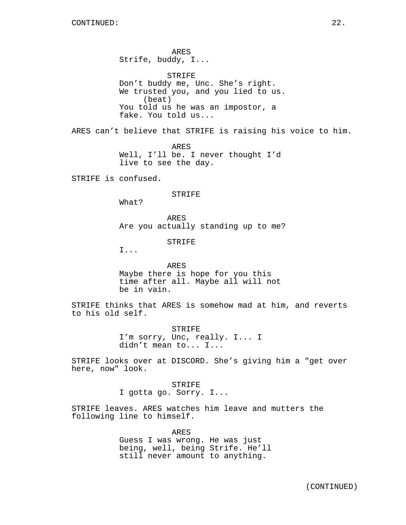ARES Strife, buddy, I...

STRIFE Don't buddy me, Unc. She's right. We trusted you, and you lied to us. (beat) You told us he was an impostor, a fake. You told us...

ARES can't believe that STRIFE is raising his voice to him.

ARES Well, I'll be. I never thought I'd live to see the day.

STRIFE is confused.

### STRIFE

What?

ARES Are you actually standing up to me?

STRIFE

I...

ARES Maybe there is hope for you this time after all. Maybe all will not be in vain.

STRIFE thinks that ARES is somehow mad at him, and reverts to his old self.

> STRIFE I'm sorry, Unc, really. I... I didn't mean to... I...

STRIFE looks over at DISCORD. She's giving him a "get over here, now" look.

> STRIFE I gotta go. Sorry. I...

STRIFE leaves. ARES watches him leave and mutters the following line to himself.

> ARES Guess I was wrong. He was just being, well, being Strife. He'll still never amount to anything.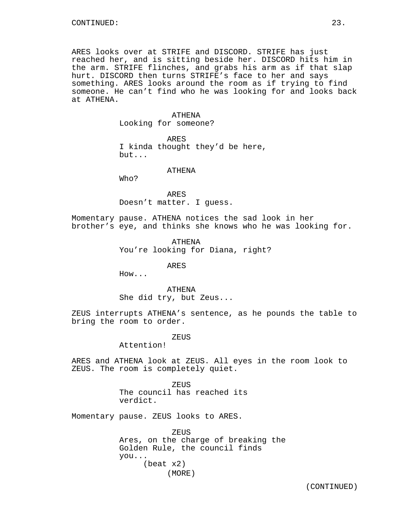ARES looks over at STRIFE and DISCORD. STRIFE has just reached her, and is sitting beside her. DISCORD hits him in the arm. STRIFE flinches, and grabs his arm as if that slap hurt. DISCORD then turns STRIFE's face to her and says something. ARES looks around the room as if trying to find someone. He can't find who he was looking for and looks back at ATHENA.

## ATHENA Looking for someone?

ARES I kinda thought they'd be here,

but...

## ATHENA

Who?

ARES Doesn't matter. I guess.

Momentary pause. ATHENA notices the sad look in her brother's eye, and thinks she knows who he was looking for.

> ATHENA You're looking for Diana, right?

> > ARES

How...

ATHENA She did try, but Zeus...

ZEUS interrupts ATHENA's sentence, as he pounds the table to bring the room to order.

### ZEUS

Attention!

ARES and ATHENA look at ZEUS. All eyes in the room look to ZEUS. The room is completely quiet.

> ZEUS The council has reached its verdict.

Momentary pause. ZEUS looks to ARES.

**ZEUS** Ares, on the charge of breaking the Golden Rule, the council finds you... (beat x2) (MORE)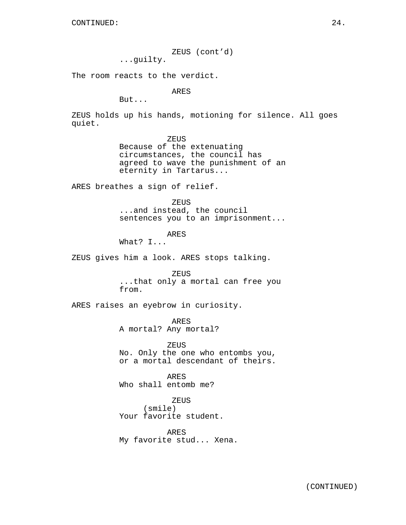ZEUS (cont'd)

...guilty.

The room reacts to the verdict.

ARES

But...

ZEUS holds up his hands, motioning for silence. All goes quiet.

ZEUS

Because of the extenuating circumstances, the council has agreed to wave the punishment of an eternity in Tartarus...

ARES breathes a sign of relief.

ZEUS ...and instead, the council sentences you to an imprisonment...

ARES

What? I...

ZEUS gives him a look. ARES stops talking.

ZEUS ...that only a mortal can free you from.

ARES raises an eyebrow in curiosity.

ARES A mortal? Any mortal?

ZEUS No. Only the one who entombs you, or a mortal descendant of theirs.

ARES Who shall entomb me?

ZEUS (smile) Your favorite student.

ARES My favorite stud... Xena.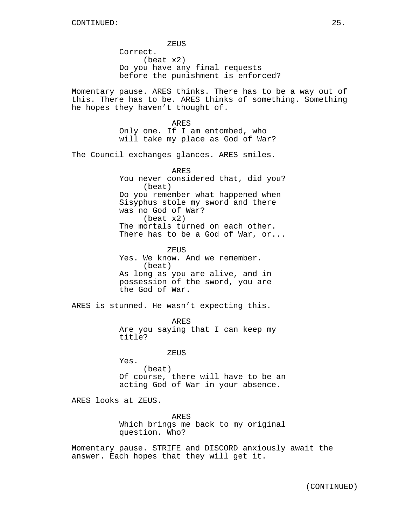ZEUS Correct. (beat x2) Do you have any final requests before the punishment is enforced?

Momentary pause. ARES thinks. There has to be a way out of this. There has to be. ARES thinks of something. Something he hopes they haven't thought of.

> ARES Only one. If I am entombed, who will take my place as God of War?

The Council exchanges glances. ARES smiles.

ARES You never considered that, did you? (beat) Do you remember what happened when Sisyphus stole my sword and there was no God of War? (beat x2) The mortals turned on each other. There has to be a God of War, or...

ZEUS Yes. We know. And we remember. (beat) As long as you are alive, and in possession of the sword, you are the God of War.

ARES is stunned. He wasn't expecting this.

ARES Are you saying that I can keep my title?

ZEUS

Yes. (beat) Of course, there will have to be an acting God of War in your absence.

ARES looks at ZEUS.

ARES Which brings me back to my original question. Who?

Momentary pause. STRIFE and DISCORD anxiously await the answer. Each hopes that they will get it.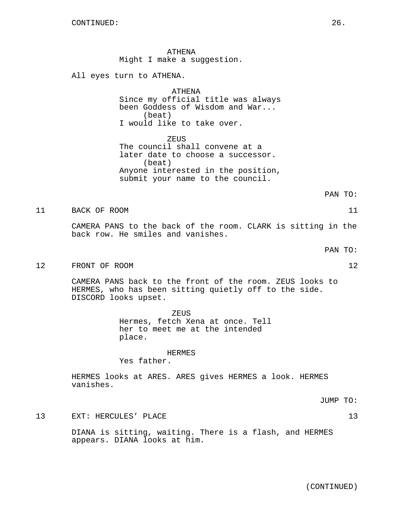ATHENA Might I make a suggestion.

All eyes turn to ATHENA.

ATHENA Since my official title was always been Goddess of Wisdom and War... (beat) I would like to take over.

ZEUS The council shall convene at a later date to choose a successor. (beat) Anyone interested in the position, submit your name to the council.

PAN TO:

11 BACK OF ROOM 11

CAMERA PANS to the back of the room. CLARK is sitting in the back row. He smiles and vanishes.

12 FRONT OF ROOM 12

CAMERA PANS back to the front of the room. ZEUS looks to HERMES, who has been sitting quietly off to the side. DISCORD looks upset.

> ZEUS Hermes, fetch Xena at once. Tell her to meet me at the intended place.

> > HERMES

Yes father.

HERMES looks at ARES. ARES gives HERMES a look. HERMES vanishes.

JUMP TO:

13 EXT: HERCULES' PLACE 13

DIANA is sitting, waiting. There is a flash, and HERMES appears. DIANA looks at him.

PAN TO: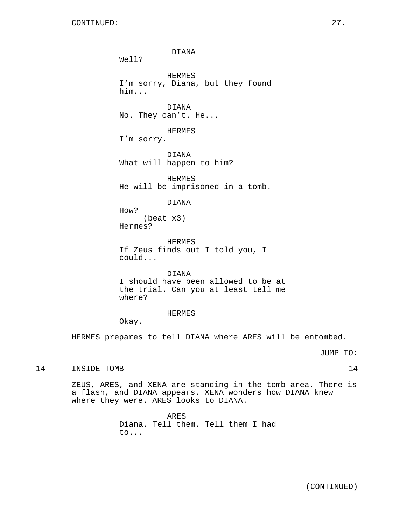DIANA Well? HERMES I'm sorry, Diana, but they found him... DIANA No. They can't. He... HERMES I'm sorry. DIANA What will happen to him? HERMES He will be imprisoned in a tomb. DIANA How? (beat x3) Hermes? HERMES If Zeus finds out I told you, I could... DIANA I should have been allowed to be at the trial. Can you at least tell me where?

## HERMES

Okay.

HERMES prepares to tell DIANA where ARES will be entombed.

JUMP TO:

14 INSIDE TOMB 14

ZEUS, ARES, and XENA are standing in the tomb area. There is a flash, and DIANA appears. XENA wonders how DIANA knew where they were. ARES looks to DIANA.

> ARES Diana. Tell them. Tell them I had to...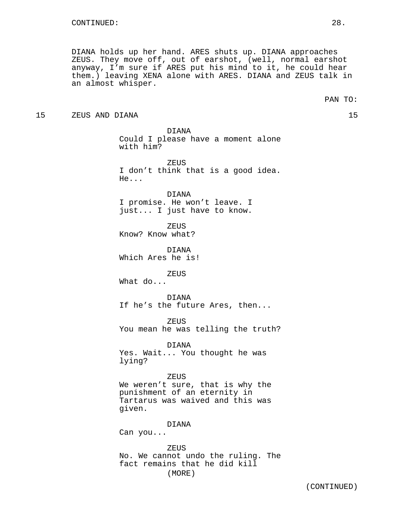DIANA holds up her hand. ARES shuts up. DIANA approaches ZEUS. They move off, out of earshot, (well, normal earshot anyway, I'm sure if ARES put his mind to it, he could hear them.) leaving XENA alone with ARES. DIANA and ZEUS talk in an almost whisper.

15 ZEUS AND DIANA 15

DIANA Could I please have a moment alone with him?

ZEUS I don't think that is a good idea. He...

DIANA I promise. He won't leave. I just... I just have to know.

**ZEUS** Know? Know what?

DIANA Which Ares he is!

ZEUS

What do...

DIANA If he's the future Ares, then...

ZEUS You mean he was telling the truth?

DIANA Yes. Wait... You thought he was lying?

### ZEUS

We weren't sure, that is why the punishment of an eternity in Tartarus was waived and this was given.

### DIANA

Can you...

ZEUS No. We cannot undo the ruling. The fact remains that he did kill (MORE)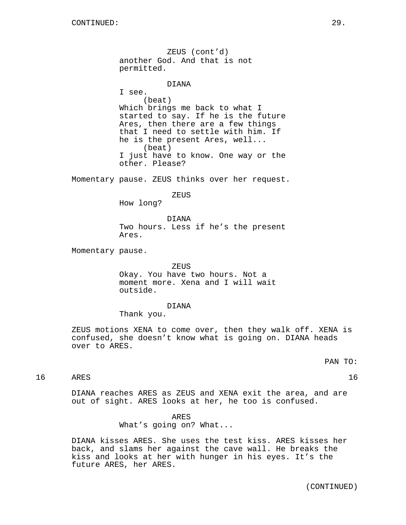ZEUS (cont'd) another God. And that is not permitted. DIANA I see. (beat) Which brings me back to what I started to say. If he is the future Ares, then there are a few things that I need to settle with him. If he is the present Ares, well... (beat) I just have to know. One way or the other. Please? Momentary pause. ZEUS thinks over her request. ZEUS How long? DIANA Two hours. Less if he's the present Ares. Momentary pause. ZEUS Okay. You have two hours. Not a moment more. Xena and I will wait outside. DIANA Thank you. ZEUS motions XENA to come over, then they walk off. XENA is confused, she doesn't know what is going on. DIANA heads over to ARES. 16 ARES 16

PAN TO:

DIANA reaches ARES as ZEUS and XENA exit the area, and are out of sight. ARES looks at her, he too is confused.

> ARES What's going on? What...

DIANA kisses ARES. She uses the test kiss. ARES kisses her back, and slams her against the cave wall. He breaks the kiss and looks at her with hunger in his eyes. It's the future ARES, her ARES.

(CONTINUED)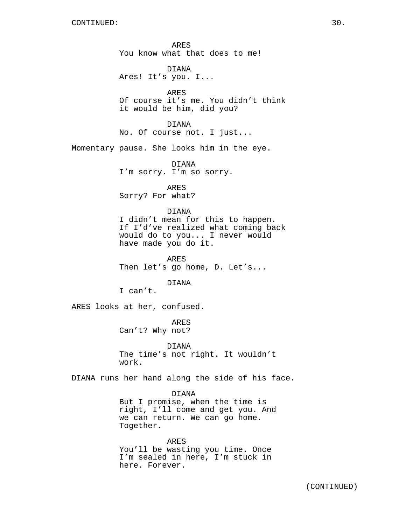ARES You know what that does to me!

DIANA Ares! It's you. I...

ARES Of course it's me. You didn't think it would be him, did you?

DIANA No. Of course not. I just...

Momentary pause. She looks him in the eye.

DIANA I'm sorry. I'm so sorry.

ARES Sorry? For what?

## DIANA

I didn't mean for this to happen. If I'd've realized what coming back would do to you... I never would have made you do it.

ARES Then let's go home, D. Let's...

DIANA

I can't.

ARES looks at her, confused.

ARES Can't? Why not?

DIANA The time's not right. It wouldn't work.

DIANA runs her hand along the side of his face.

### DIANA

But I promise, when the time is right, I'll come and get you. And we can return. We can go home. Together.

ARES You'll be wasting you time. Once I'm sealed in here, I'm stuck in here. Forever.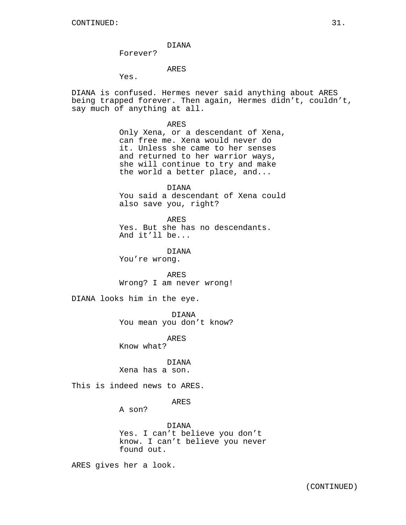DIANA

Forever?

# ARES

Yes.

DIANA is confused. Hermes never said anything about ARES being trapped forever. Then again, Hermes didn't, couldn't, say much of anything at all.

> ARES Only Xena, or a descendant of Xena, can free me. Xena would never do it. Unless she came to her senses and returned to her warrior ways, she will continue to try and make the world a better place, and...

> DIANA You said a descendant of Xena could also save you, right?

ARES Yes. But she has no descendants. And it'll be...

DIANA You're wrong.

ARES Wrong? I am never wrong!

DIANA looks him in the eye.

DIANA

You mean you don't know?

ARES

Know what?

# DIANA

Xena has a son.

This is indeed news to ARES.

ARES

A son?

DIANA Yes. I can't believe you don't know. I can't believe you never found out.

ARES gives her a look.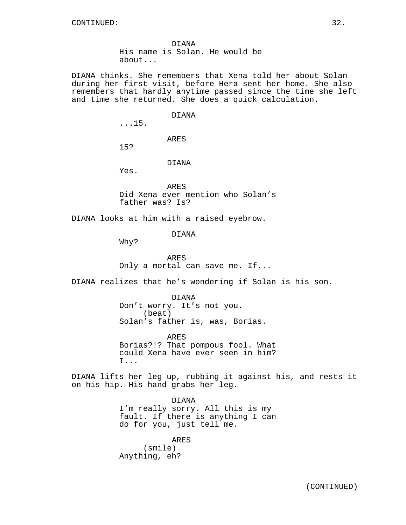DIANA His name is Solan. He would be about...

DIANA thinks. She remembers that Xena told her about Solan during her first visit, before Hera sent her home. She also remembers that hardly anytime passed since the time she left and time she returned. She does a quick calculation.

#### DIANA

...15.

ARES

15?

DIANA

Yes.

ARES Did Xena ever mention who Solan's father was? Is?

DIANA looks at him with a raised eyebrow.

DIANA

Why?

ARES Only a mortal can save me. If...

DIANA realizes that he's wondering if Solan is his son.

DIANA Don't worry. It's not you. (beat) Solan's father is, was, Borias.

ARES Borias?!? That pompous fool. What could Xena have ever seen in him? I...

DIANA lifts her leg up, rubbing it against his, and rests it on his hip. His hand grabs her leg.

> DIANA I'm really sorry. All this is my fault. If there is anything I can do for you, just tell me.

ARES (smile) Anything, eh?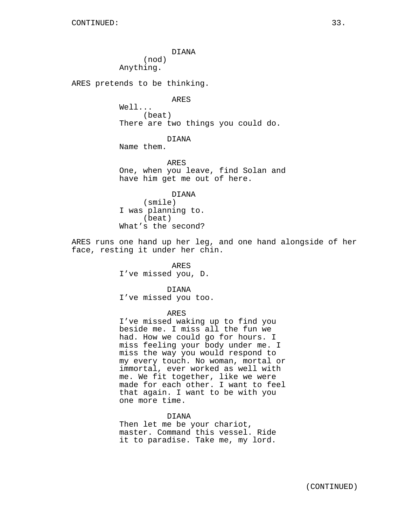DIANA (nod) Anything.

ARES pretends to be thinking.

ARES

Well... (beat) There are two things you could do.

DIANA

Name them.

ARES One, when you leave, find Solan and have him get me out of here.

DIANA (smile) I was planning to. (beat) What's the second?

ARES runs one hand up her leg, and one hand alongside of her face, resting it under her chin.

> ARES I've missed you, D.

DIANA I've missed you too.

ARES

I've missed waking up to find you beside me. I miss all the fun we had. How we could go for hours. I miss feeling your body under me. I miss the way you would respond to my every touch. No woman, mortal or immortal, ever worked as well with me. We fit together, like we were made for each other. I want to feel that again. I want to be with you one more time.

DIANA Then let me be your chariot, master. Command this vessel. Ride it to paradise. Take me, my lord.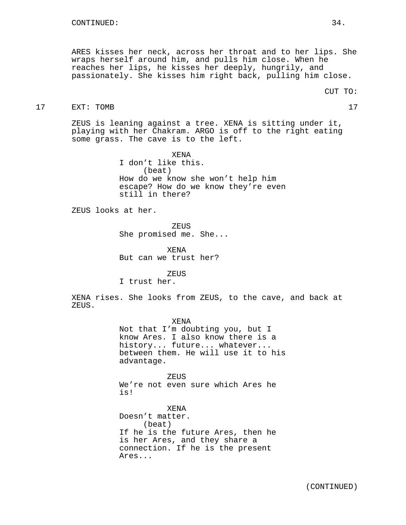ARES kisses her neck, across her throat and to her lips. She wraps herself around him, and pulls him close. When he reaches her lips, he kisses her deeply, hungrily, and passionately. She kisses him right back, pulling him close.

#### 17 EXT: TOMB 17

ZEUS is leaning against a tree. XENA is sitting under it, playing with her Chakram. ARGO is off to the right eating some grass. The cave is to the left.

> XENA I don't like this. (beat) How do we know she won't help him escape? How do we know they're even still in there?

ZEUS looks at her.

**ZEUS** She promised me. She...

XENA But can we trust her?

ZEUS I trust her.

XENA rises. She looks from ZEUS, to the cave, and back at ZEUS.

> XENA Not that I'm doubting you, but I know Ares. I also know there is a history... future... whatever... between them. He will use it to his advantage.

ZEUS We're not even sure which Ares he is!

XENA Doesn't matter. (beat) If he is the future Ares, then he is her Ares, and they share a connection. If he is the present Ares...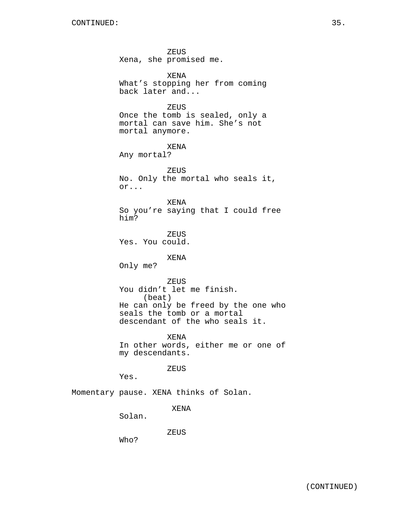ZEUS Xena, she promised me. XENA What's stopping her from coming back later and... **ZEUS** Once the tomb is sealed, only a mortal can save him. She's not mortal anymore. XENA Any mortal? ZEUS No. Only the mortal who seals it, or... XENA So you're saying that I could free him? ZEUS Yes. You could. XENA Only me? ZEUS You didn't let me finish. (beat) He can only be freed by the one who seals the tomb or a mortal descendant of the who seals it. XENA In other words, either me or one of my descendants. ZEUS Yes. Momentary pause. XENA thinks of Solan. XENA Solan. ZEUS Who?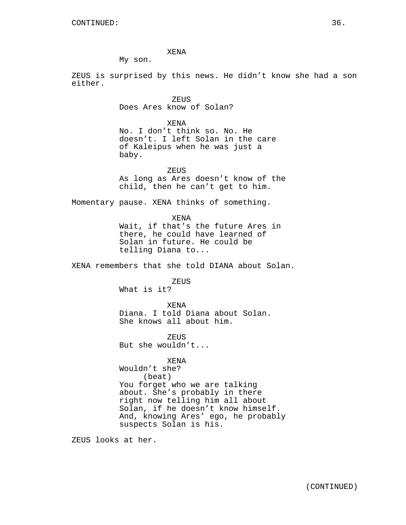XENA

My son.

ZEUS is surprised by this news. He didn't know she had a son either.

> ZEUS Does Ares know of Solan?

XENA No. I don't think so. No. He doesn't. I left Solan in the care of Kaleipus when he was just a baby.

ZEUS As long as Ares doesn't know of the child, then he can't get to him.

Momentary pause. XENA thinks of something.

XENA Wait, if that's the future Ares in there, he could have learned of Solan in future. He could be telling Diana to...

XENA remembers that she told DIANA about Solan.

ZEUS

What is it?

XENA Diana. I told Diana about Solan. She knows all about him.

ZEUS But she wouldn't...

XENA Wouldn't she? (beat) You forget who we are talking about. She's probably in there right now telling him all about Solan, if he doesn't know himself. And, knowing Ares' ego, he probably suspects Solan is his.

ZEUS looks at her.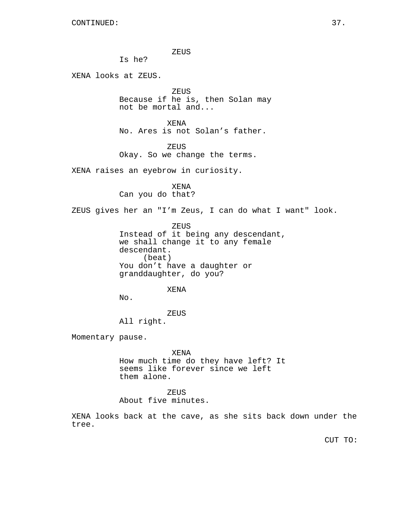ZEUS

Is he?

XENA looks at ZEUS.

ZEUS Because if he is, then Solan may not be mortal and...

XENA No. Ares is not Solan's father.

ZEUS Okay. So we change the terms.

XENA raises an eyebrow in curiosity.

XENA Can you do that?

ZEUS gives her an "I'm Zeus, I can do what I want" look.

ZEUS

Instead of it being any descendant, we shall change it to any female descendant. (beat) You don't have a daughter or granddaughter, do you?

XENA

No.

ZEUS

All right.

Momentary pause.

XENA How much time do they have left? It seems like forever since we left them alone.

ZEUS About five minutes.

XENA looks back at the cave, as she sits back down under the tree.

CUT TO: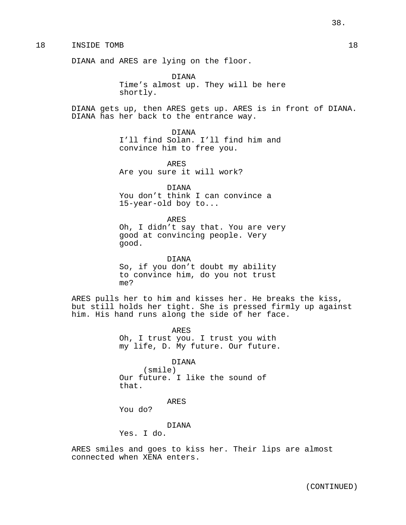18 INSIDE TOMB 18

DIANA and ARES are lying on the floor.

DIANA Time's almost up. They will be here shortly.

DIANA gets up, then ARES gets up. ARES is in front of DIANA. DIANA has her back to the entrance way.

> DIANA I'll find Solan. I'll find him and convince him to free you.

ARES Are you sure it will work?

DIANA You don't think I can convince a 15-year-old boy to...

ARES Oh, I didn't say that. You are very good at convincing people. Very good.

DIANA So, if you don't doubt my ability to convince him, do you not trust me?

ARES pulls her to him and kisses her. He breaks the kiss, but still holds her tight. She is pressed firmly up against him. His hand runs along the side of her face.

> ARES Oh, I trust you. I trust you with my life, D. My future. Our future.

> > DIANA

(smile) Our future. I like the sound of that.

ARES

You do?

DIANA

Yes. I do.

ARES smiles and goes to kiss her. Their lips are almost connected when XENA enters.

38.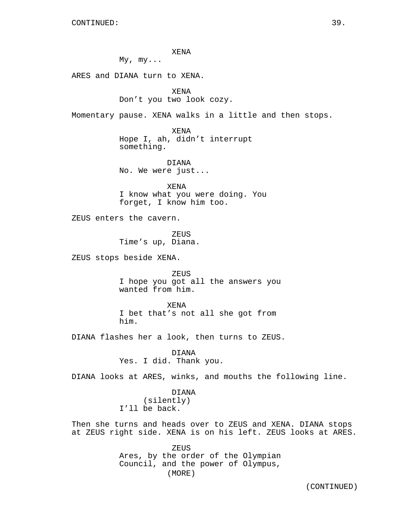XENA

 $My, my...$ 

ARES and DIANA turn to XENA.

XENA Don't you two look cozy.

Momentary pause. XENA walks in a little and then stops.

XENA Hope I, ah, didn't interrupt something.

DIANA No. We were just...

XENA I know what you were doing. You forget, I know him too.

ZEUS enters the cavern.

ZEUS Time's up, Diana.

ZEUS stops beside XENA.

ZEUS I hope you got all the answers you wanted from him.

XENA I bet that's not all she got from him.

DIANA flashes her a look, then turns to ZEUS.

DIANA Yes. I did. Thank you.

DIANA looks at ARES, winks, and mouths the following line.

DIANA (silently) I'll be back.

Then she turns and heads over to ZEUS and XENA. DIANA stops at ZEUS right side. XENA is on his left. ZEUS looks at ARES.

> ZEUS Ares, by the order of the Olympian Council, and the power of Olympus, (MORE)

> > (CONTINUED)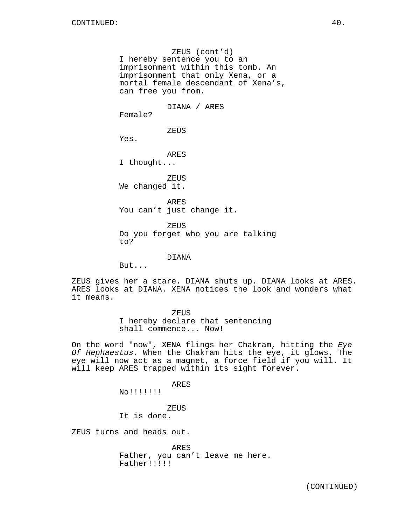ZEUS (cont'd) I hereby sentence you to an imprisonment within this tomb. An imprisonment that only Xena, or a mortal female descendant of Xena's, can free you from.

DIANA / ARES

Female?

ZEUS

Yes.

ARES I thought...

ZEUS We changed it.

ARES You can't just change it.

ZEUS Do you forget who you are talking to?

DIANA

But...

ZEUS gives her a stare. DIANA shuts up. DIANA looks at ARES. ARES looks at DIANA. XENA notices the look and wonders what it means.

ZEUS

I hereby declare that sentencing shall commence... Now!

On the word "now", XENA flings her Chakram, hitting the Eye Of Hephaestus. When the Chakram hits the eye, it glows. The eye will now act as a magnet, a force field if you will. It will keep ARES trapped within its sight forever.

ARES

No!!!!!!!

**ZEUS** 

It is done.

ZEUS turns and heads out.

ARES

Father, you can't leave me here. Father!!!!!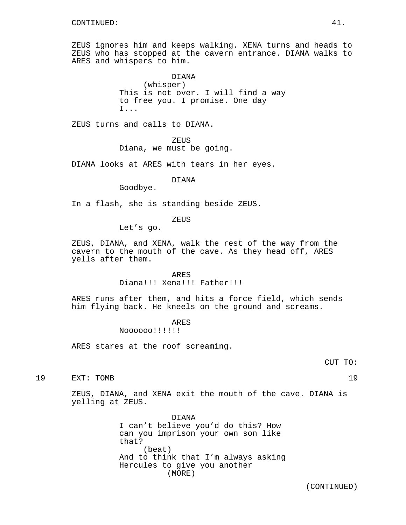ZEUS ignores him and keeps walking. XENA turns and heads to ZEUS who has stopped at the cavern entrance. DIANA walks to ARES and whispers to him.

> DIANA (whisper) This is not over. I will find a way to free you. I promise. One day I...

ZEUS turns and calls to DIANA.

**ZEUS** 

## Diana, we must be going.

DIANA looks at ARES with tears in her eyes.

### DIANA

Goodbye.

In a flash, she is standing beside ZEUS.

### ZEUS

Let's go.

ZEUS, DIANA, and XENA, walk the rest of the way from the cavern to the mouth of the cave. As they head off, ARES yells after them.

#### ARES

Diana!!! Xena!!! Father!!!

ARES runs after them, and hits a force field, which sends him flying back. He kneels on the ground and screams.

### ARES

Noooooo!!!!!!

ARES stares at the roof screaming.

19 EXT: TOMB 19

ZEUS, DIANA, and XENA exit the mouth of the cave. DIANA is yelling at ZEUS.

> DIANA I can't believe you'd do this? How can you imprison your own son like that? (beat) And to think that I'm always asking Hercules to give you another (MORE)

> > (CONTINUED)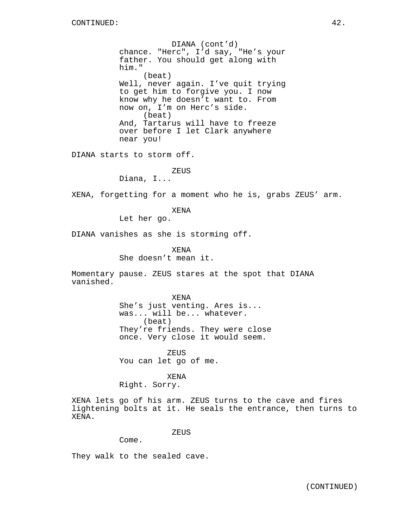DIANA (cont'd) chance. "Herc", I'd say, "He's your father. You should get along with him." (beat) Well, never again. I've quit trying to get him to forgive you. I now know why he doesn't want to. From now on, I'm on Herc's side. (beat) And, Tartarus will have to freeze over before I let Clark anywhere near you!

DIANA starts to storm off.

ZEUS

Diana, I...

XENA, forgetting for a moment who he is, grabs ZEUS' arm.

XENA

Let her go.

DIANA vanishes as she is storming off.

XENA She doesn't mean it.

Momentary pause. ZEUS stares at the spot that DIANA vanished.

> XENA She's just venting. Ares is... was... will be... whatever. (beat) They're friends. They were close once. Very close it would seem.

ZEUS You can let go of me.

XENA Right. Sorry.

XENA lets go of his arm. ZEUS turns to the cave and fires lightening bolts at it. He seals the entrance, then turns to XENA.

ZEUS

Come.

They walk to the sealed cave.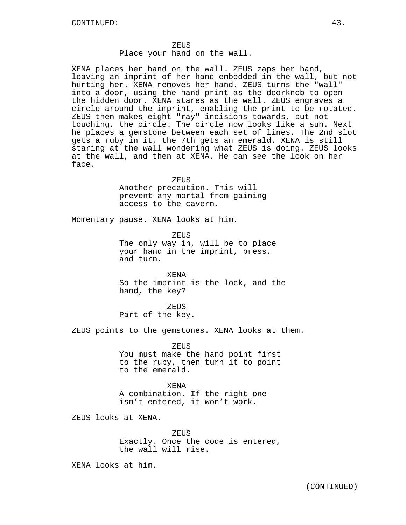XENA places her hand on the wall. ZEUS zaps her hand, leaving an imprint of her hand embedded in the wall, but not hurting her. XENA removes her hand. ZEUS turns the "wall" into a door, using the hand print as the doorknob to open the hidden door. XENA stares as the wall. ZEUS engraves a circle around the imprint, enabling the print to be rotated. ZEUS then makes eight "ray" incisions towards, but not touching, the circle. The circle now looks like a sun. Next he places a gemstone between each set of lines. The 2nd slot gets a ruby in it, the 7th gets an emerald. XENA is still staring at the wall wondering what ZEUS is doing. ZEUS looks at the wall, and then at XENA. He can see the look on her face.

> **ZEUS** Another precaution. This will prevent any mortal from gaining access to the cavern.

Momentary pause. XENA looks at him.

ZEUS The only way in, will be to place your hand in the imprint, press, and turn.

XENA So the imprint is the lock, and the hand, the key?

ZEUS Part of the key.

ZEUS points to the gemstones. XENA looks at them.

ZEUS You must make the hand point first to the ruby, then turn it to point to the emerald.

XENA A combination. If the right one isn't entered, it won't work.

ZEUS looks at XENA.

ZEUS Exactly. Once the code is entered, the wall will rise.

XENA looks at him.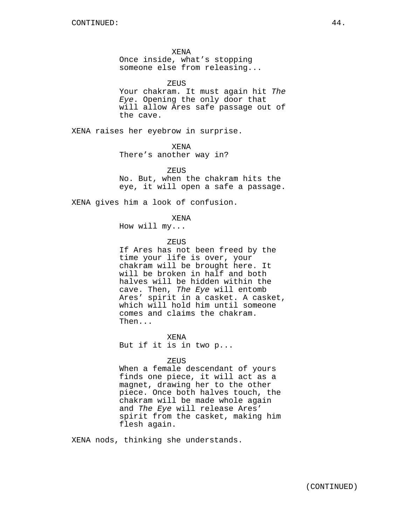XENA

Once inside, what's stopping someone else from releasing...

ZEUS

Your chakram. It must again hit The Eye. Opening the only door that will allow Ares safe passage out of the cave.

XENA raises her eyebrow in surprise.

XENA

There's another way in?

ZEUS No. But, when the chakram hits the eye, it will open a safe a passage.

XENA gives him a look of confusion.

XENA

How will my...

## ZEUS

If Ares has not been freed by the time your life is over, your chakram will be brought here. It will be broken in half and both halves will be hidden within the cave. Then, The Eye will entomb Ares' spirit in a casket. A casket, which will hold him until someone comes and claims the chakram. Then...

XENA But if it is in two p...

#### ZEUS

When a female descendant of yours finds one piece, it will act as a magnet, drawing her to the other piece. Once both halves touch, the chakram will be made whole again and The Eye will release Ares' spirit from the casket, making him flesh again.

XENA nods, thinking she understands.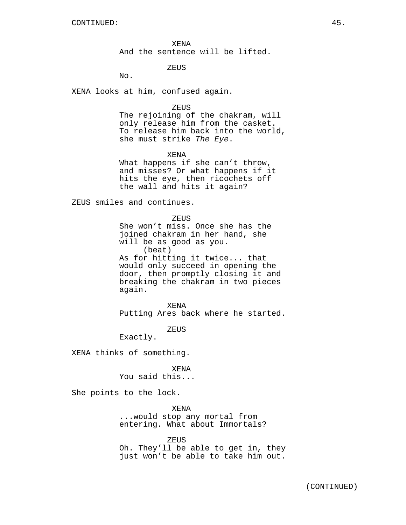XENA And the sentence will be lifted.

ZEUS

No.

XENA looks at him, confused again.

#### ZEUS

The rejoining of the chakram, will only release him from the casket. To release him back into the world, she must strike The Eye.

XENA

What happens if she can't throw, and misses? Or what happens if it hits the eye, then ricochets off the wall and hits it again?

ZEUS smiles and continues.

**ZEUS** 

She won't miss. Once she has the joined chakram in her hand, she will be as good as you. (beat) As for hitting it twice... that would only succeed in opening the door, then promptly closing it and breaking the chakram in two pieces again.

XENA Putting Ares back where he started.

ZEUS

Exactly.

XENA thinks of something.

XENA

You said this...

She points to the lock.

XENA ...would stop any mortal from entering. What about Immortals?

ZEUS

Oh. They'll be able to get in, they just won't be able to take him out.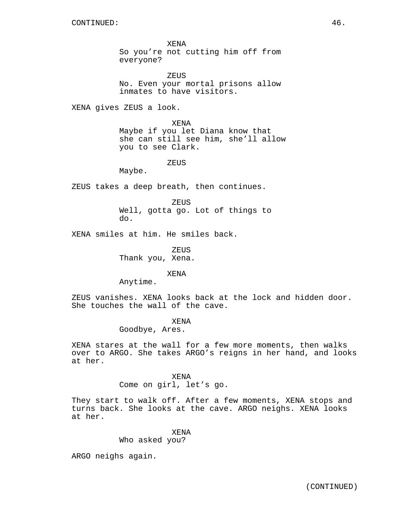XENA So you're not cutting him off from everyone?

ZEUS No. Even your mortal prisons allow inmates to have visitors.

XENA gives ZEUS a look.

XENA Maybe if you let Diana know that she can still see him, she'll allow you to see Clark.

ZEUS

Maybe.

ZEUS takes a deep breath, then continues.

**ZEUS** Well, gotta go. Lot of things to do.

XENA smiles at him. He smiles back.

ZEUS Thank you, Xena.

XENA

Anytime.

ZEUS vanishes. XENA looks back at the lock and hidden door. She touches the wall of the cave.

XENA

Goodbye, Ares.

XENA stares at the wall for a few more moments, then walks over to ARGO. She takes ARGO's reigns in her hand, and looks at her.

> XENA Come on girl, let's go.

They start to walk off. After a few moments, XENA stops and turns back. She looks at the cave. ARGO neighs. XENA looks at her.

XENA

Who asked you?

ARGO neighs again.